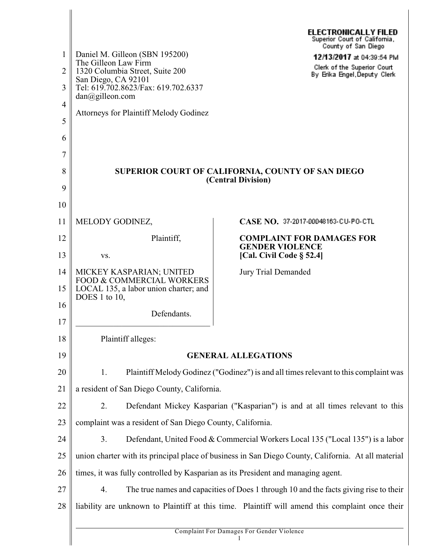|                |                                                                                                     | <b>ELECTRONICALLY FILED</b><br>Superior Court of California, |  |
|----------------|-----------------------------------------------------------------------------------------------------|--------------------------------------------------------------|--|
| 1              | Daniel M. Gilleon (SBN 195200)                                                                      | County of San Diego<br>12/13/2017 at 04:39:54 PM             |  |
| $\overline{2}$ | The Gilleon Law Firm<br>1320 Columbia Street, Suite 200                                             | Clerk of the Superior Court<br>By Erika Engel, Deputy Clerk  |  |
| 3              | San Diego, CA 92101<br>Tel: 619.702.8623/Fax: 619.702.6337<br>$dan(\partial g$ illeon.com           |                                                              |  |
| $\overline{4}$ | <b>Attorneys for Plaintiff Melody Godinez</b>                                                       |                                                              |  |
| 5              |                                                                                                     |                                                              |  |
| 6              |                                                                                                     |                                                              |  |
| 7              |                                                                                                     |                                                              |  |
| 8              | SUPERIOR COURT OF CALIFORNIA, COUNTY OF SAN DIEGO<br>(Central Division)                             |                                                              |  |
| 9<br>10        |                                                                                                     |                                                              |  |
| 11             | MELODY GODINEZ,                                                                                     | CASE NO. 37-2017-00048163-CU-PO-CTL                          |  |
| 12             | Plaintiff,                                                                                          | <b>COMPLAINT FOR DAMAGES FOR</b>                             |  |
| 13             | VS.                                                                                                 | <b>GENDER VIOLENCE</b><br>[Cal. Civil Code $\S$ 52.4]        |  |
| 14             | MICKEY KASPARIAN; UNITED                                                                            | <b>Jury Trial Demanded</b>                                   |  |
| 15             | <b>FOOD &amp; COMMERCIAL WORKERS</b><br>LOCAL 135, a labor union charter; and<br>DOES 1 to 10,      |                                                              |  |
| 16             | Defendants.                                                                                         |                                                              |  |
| 17             |                                                                                                     |                                                              |  |
| 18             | Plaintiff alleges:                                                                                  |                                                              |  |
| 19             | <b>GENERAL ALLEGATIONS</b>                                                                          |                                                              |  |
| 20             | Plaintiff Melody Godinez ("Godinez") is and all times relevant to this complaint was<br>1.          |                                                              |  |
| 21             | a resident of San Diego County, California.                                                         |                                                              |  |
| 22             | 2.<br>Defendant Mickey Kasparian ("Kasparian") is and at all times relevant to this                 |                                                              |  |
| 23             | complaint was a resident of San Diego County, California.                                           |                                                              |  |
| 24             | 3.<br>Defendant, United Food & Commercial Workers Local 135 ("Local 135") is a labor                |                                                              |  |
| 25             | union charter with its principal place of business in San Diego County, California. At all material |                                                              |  |
| 26             | times, it was fully controlled by Kasparian as its President and managing agent.                    |                                                              |  |
| 27             | 4.<br>The true names and capacities of Does 1 through 10 and the facts giving rise to their         |                                                              |  |
| 28             | liability are unknown to Plaintiff at this time. Plaintiff will amend this complaint once their     |                                                              |  |
|                |                                                                                                     | Complaint For Damages For Gender Violence                    |  |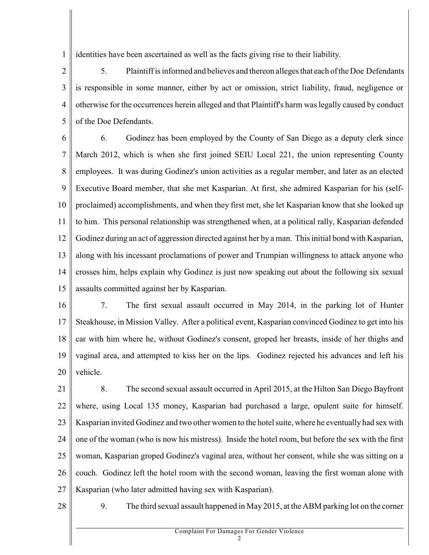1 identities have been ascertained as well as the facts giving rise to their liability.

 $\overline{2}$ 3 4 5 5. Plaintiff is informed and believes and thereon alleges that each of the Doe Defendants is responsible in some manner, either by act or omission, strict liability, fraud, negligence or otherwise for the occurrences herein alleged and that Plaintiff's harm was legally caused by conduct of the Doe Defendants.

6 7 8 9 10 11 12 13 14 15 6. Godinez has been employed by the County of San Diego as a deputy clerk since March 2012, which is when she first joined SEIU Local 221, the union representing County employees. It was during Godinez's union activities as a regular member, and later as an elected Executive Board member, that she met Kasparian. At first, she admired Kasparian for his (selfproclaimed) accomplishments, and when they first met, she let Kasparian know that she looked up to him. This personal relationship was strengthened when, at a political rally, Kasparian defended Godinez during an act of aggression directed against her by a man. This initial bond with Kasparian, along with his incessant proclamations of power and Trumpian willingness to attack anyone who crosses him, helps explain why Godinez is just now speaking out about the following six sexual assaults committed against her by Kasparian.

16 17 18 19 20 7. The first sexual assault occurred in May 2014, in the parking lot of Hunter Steakhouse, in Mission Valley. After a political event, Kasparian convinced Godinez to get into his car with him where he, without Godinez's consent, groped her breasts, inside of her thighs and vaginal area, and attempted to kiss her on the lips. Godinez rejected his advances and left his vehicle.

21 22 23 24 25 26 27 8. The second sexual assault occurred in April 2015, at the Hilton San Diego Bayfront where, using Local 135 money, Kasparian had purchased a large, opulent suite for himself. Kasparian invited Godinez and two other women to the hotel suite, where he eventually had sex with one of the woman (who is now his mistress). Inside the hotel room, but before the sex with the first woman, Kasparian groped Godinez's vaginal area, without her consent, while she was sitting on a couch. Godinez left the hotel room with the second woman, leaving the first woman alone with Kasparian (who later admitted having sex with Kasparian).

28

9. The third sexual assault happened in May 2015, at the ABM parking lot on the corner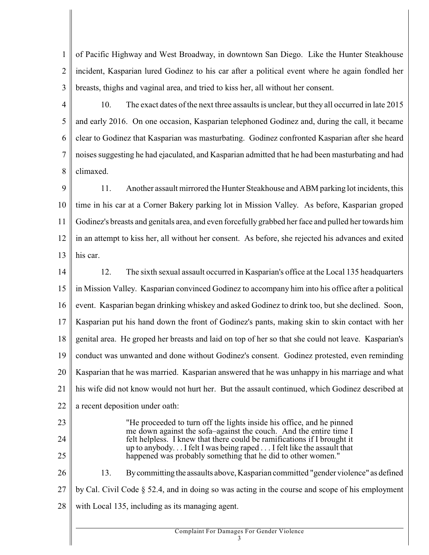1  $\overline{2}$ 3 of Pacific Highway and West Broadway, in downtown San Diego. Like the Hunter Steakhouse incident, Kasparian lured Godinez to his car after a political event where he again fondled her breasts, thighs and vaginal area, and tried to kiss her, all without her consent.

4 5 6 7 8 10. The exact dates of the next three assaults is unclear, but they all occurred in late 2015 and early 2016. On one occasion, Kasparian telephoned Godinez and, during the call, it became clear to Godinez that Kasparian was masturbating. Godinez confronted Kasparian after she heard noises suggesting he had ejaculated, and Kasparian admitted that he had been masturbating and had climaxed.

 $\mathbf Q$ 10 11 12 13 11. Another assault mirrored the Hunter Steakhouse and ABM parking lot incidents, this time in his car at a Corner Bakery parking lot in Mission Valley. As before, Kasparian groped Godinez's breasts and genitals area, and even forcefully grabbed her face and pulled her towards him in an attempt to kiss her, all without her consent. As before, she rejected his advances and exited his car.

14 15 16 17 18 19 20 21 22 12. The sixth sexual assault occurred in Kasparian's office at the Local 135 headquarters in Mission Valley. Kasparian convinced Godinez to accompany him into his office after a political event. Kasparian began drinking whiskey and asked Godinez to drink too, but she declined. Soon, Kasparian put his hand down the front of Godinez's pants, making skin to skin contact with her genital area. He groped her breasts and laid on top of her so that she could not leave. Kasparian's conduct was unwanted and done without Godinez's consent. Godinez protested, even reminding Kasparian that he was married. Kasparian answered that he was unhappy in his marriage and what his wife did not know would not hurt her. But the assault continued, which Godinez described at a recent deposition under oath:

23

24

25

"He proceeded to turn off the lights inside his office, and he pinned me down against the sofa–against the couch. And the entire time I felt helpless. I knew that there could be ramifications if I brought it up to anybody. . . I felt I was being raped . . . I felt like the assault that happened was probably something that he did to other women."

26 27 28 13. Bycommitting the assaults above, Kasparian committed "gender violence" as defined by Cal. Civil Code § 52.4, and in doing so was acting in the course and scope of his employment with Local 135, including as its managing agent.